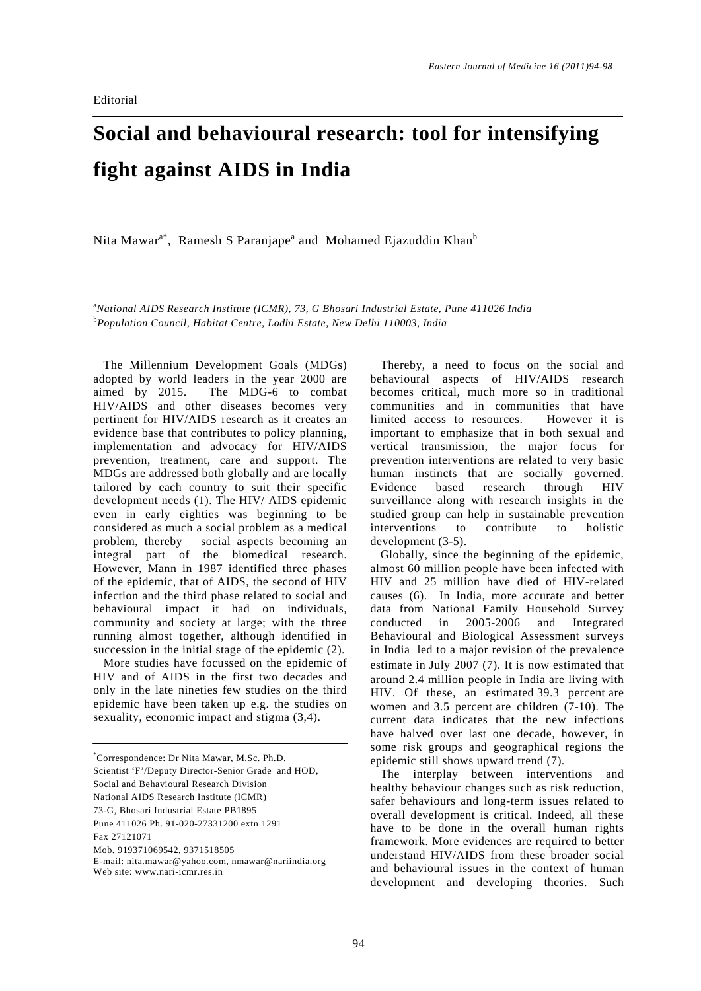## **Social and behavioural research: tool for intensifying fight against AIDS in India**

Nita Mawar<sup>a\*</sup>, Ramesh S Paranjape<sup>a</sup> and Mohamed Ejazuddin Khan<sup>b</sup>

a *National AIDS Research Institute (ICMR), 73, G Bhosari Industrial Estate, Pune 411026 India* b *Population Council, Habitat Centre, Lodhi Estate, New Delhi 110003, India* 

The Millennium Development Goals (MDGs) adopted by world leaders in the year 2000 are aimed by 2015. The MDG-6 to combat HIV/AIDS and other diseases becomes very pertinent for HIV/AIDS research as it creates an evidence base that contributes to policy planning, implementation and advocacy for HIV/AIDS prevention, treatment, care and support. The MDGs are addressed both globally and are locally tailored by each country to suit their specific development needs (1). The HIV/ AIDS epidemic even in early eighties was beginning to be considered as much a social problem as a medical problem, thereby social aspects becoming an integral part of the biomedical research. However, Mann in 1987 identified three phases of the epidemic, that of AIDS, the second of HIV infection and the third phase related to social and behavioural impact it had on individuals, community and society at large; with the three running almost together, although identified in succession in the initial stage of the epidemic (2).

More studies have focussed on the epidemic of HIV and of AIDS in the first two decades and only in the late nineties few studies on the third epidemic have been taken up e.g. the studies on sexuality, economic impact and stigma (3,4).

Social and Behavioural Research Division

National AIDS Research Institute (ICMR) 73-G, Bhosari Industrial Estate PB1895

Pune 411026 Ph. 91-020-27331200 extn 1291

Thereby, a need to focus on the social and behavioural aspects of HIV/AIDS research becomes critical, much more so in traditional communities and in communities that have limited access to resources. However it is important to emphasize that in both sexual and vertical transmission, the major focus for prevention interventions are related to very basic human instincts that are socially governed. Evidence based research through HIV surveillance along with research insights in the studied group can help in sustainable prevention interventions to contribute to holistic development (3-5).

Globally, since the beginning of the epidemic, almost 60 million people have been infected with HIV and 25 million have died of HIV-related causes (6). In India, more accurate and better data from National Family Household Survey conducted in 2005-2006 and Integrated Behavioural and Biological Assessment surveys in India led to a major revision of the prevalence estimate in July 2007 (7). It is now estimated that around 2.4 million people in India are living with HIV. Of these, an estimated 39.3 percent are women and 3.5 percent are children (7-10). The current data indicates that the new infections have halved over last one decade, however, in some risk groups and geographical regions the epidemic still shows upward trend (7).

The interplay between interventions and healthy behaviour changes such as risk reduction, safer behaviours and long-term issues related to overall development is critical. Indeed, all these have to be done in the overall human rights framework. More evidences are required to better understand HIV/AIDS from these broader social and behavioural issues in the context of human development and developing theories. Such

<sup>\*</sup> Correspondence: Dr Nita Mawar, M.Sc. Ph.D.

Scientist 'F'/Deputy Director-Senior Grade and HOD,

Fax 27121071

Mob. 919371069542, 9371518505

E-mail: nita.mawar@yahoo.com, nmawar@nariindia.org

Web site: www.nari-icmr.res.in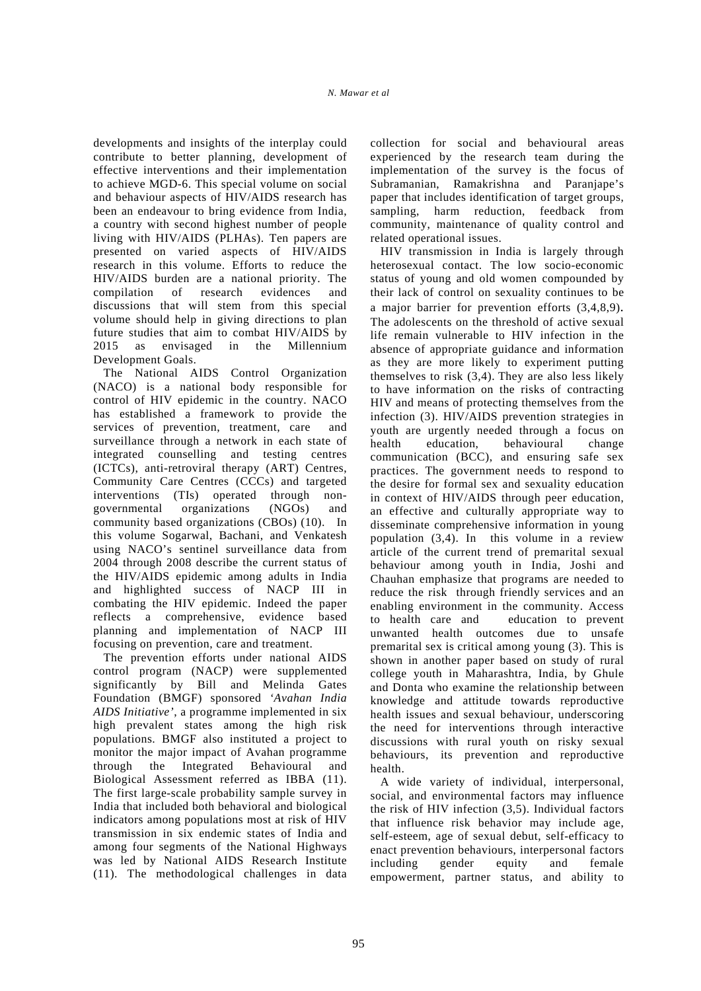developments and insights of the interplay could contribute to better planning, development of effective interventions and their implementation to achieve MGD-6. This special volume on social and behaviour aspects of HIV/AIDS research has been an endeavour to bring evidence from India, a country with second highest number of people living with HIV/AIDS (PLHAs). Ten papers are presented on varied aspects of HIV/AIDS research in this volume. Efforts to reduce the HIV/AIDS burden are a national priority. The compilation of research evidences and discussions that will stem from this special volume should help in giving directions to plan future studies that aim to combat HIV/AIDS by 2015 as envisaged in the Millennium Development Goals.

The National AIDS Control Organization (NACO) is a national body responsible for control of HIV epidemic in the country. NACO has established a framework to provide the services of prevention, treatment, care and surveillance through a network in each state of integrated counselling and testing centres (ICTCs), anti-retroviral therapy (ART) Centres, Community Care Centres (CCCs) and targeted interventions (TIs) operated through nongovernmental organizations (NGOs) and community based organizations (CBOs) (10). In this volume Sogarwal, Bachani, and Venkatesh using NACO's sentinel surveillance data from 2004 through 2008 describe the current status of the HIV/AIDS epidemic among adults in India and highlighted success of NACP III in combating the HIV epidemic. Indeed the paper reflects a comprehensive, evidence based planning and implementation of NACP III focusing on prevention, care and treatment.

The prevention efforts under national AIDS control program (NACP) were supplemented significantly by Bill and Melinda Gates Foundation (BMGF) sponsored *'Avahan India AIDS Initiative'*, a programme implemented in six high prevalent states among the high risk populations. BMGF also instituted a project to monitor the major impact of Avahan programme through the Integrated Behavioural and Biological Assessment referred as IBBA (11). The first large-scale probability sample survey in India that included both behavioral and biological indicators among populations most at risk of HIV transmission in six endemic states of India and among four segments of the National Highways was led by National AIDS Research Institute (11). The methodological challenges in data collection for social and behavioural areas experienced by the research team during the implementation of the survey is the focus of Subramanian, Ramakrishna and Paranjape's paper that includes identification of target groups, sampling, harm reduction, feedback from community, maintenance of quality control and related operational issues.

HIV transmission in India is largely through heterosexual contact. The low socio-economic status of young and old women compounded by their lack of control on sexuality continues to be a major barrier for prevention efforts (3,4,8,9). The adolescents on the threshold of active sexual life remain vulnerable to HIV infection in the absence of appropriate guidance and information as they are more likely to experiment putting themselves to risk (3,4). They are also less likely to have information on the risks of contracting HIV and means of protecting themselves from the infection (3). HIV/AIDS prevention strategies in youth are urgently needed through a focus on health education, behavioural change communication (BCC), and ensuring safe sex practices. The government needs to respond to the desire for formal sex and sexuality education in context of HIV/AIDS through peer education, an effective and culturally appropriate way to disseminate comprehensive information in young population (3,4). In this volume in a review article of the current trend of premarital sexual behaviour among youth in India, Joshi and Chauhan emphasize that programs are needed to reduce the risk through friendly services and an enabling environment in the community. Access to health care and education to prevent unwanted health outcomes due to unsafe premarital sex is critical among young (3). This is shown in another paper based on study of rural college youth in Maharashtra, India, by Ghule and Donta who examine the relationship between knowledge and attitude towards reproductive health issues and sexual behaviour, underscoring the need for interventions through interactive discussions with rural youth on risky sexual behaviours, its prevention and reproductive health.

A wide variety of individual, interpersonal, social, and environmental factors may influence the risk of HIV infection (3,5). Individual factors that influence risk behavior may include age, self-esteem, age of sexual debut, self-efficacy to enact prevention behaviours, interpersonal factors including gender equity and female empowerment, partner status, and ability to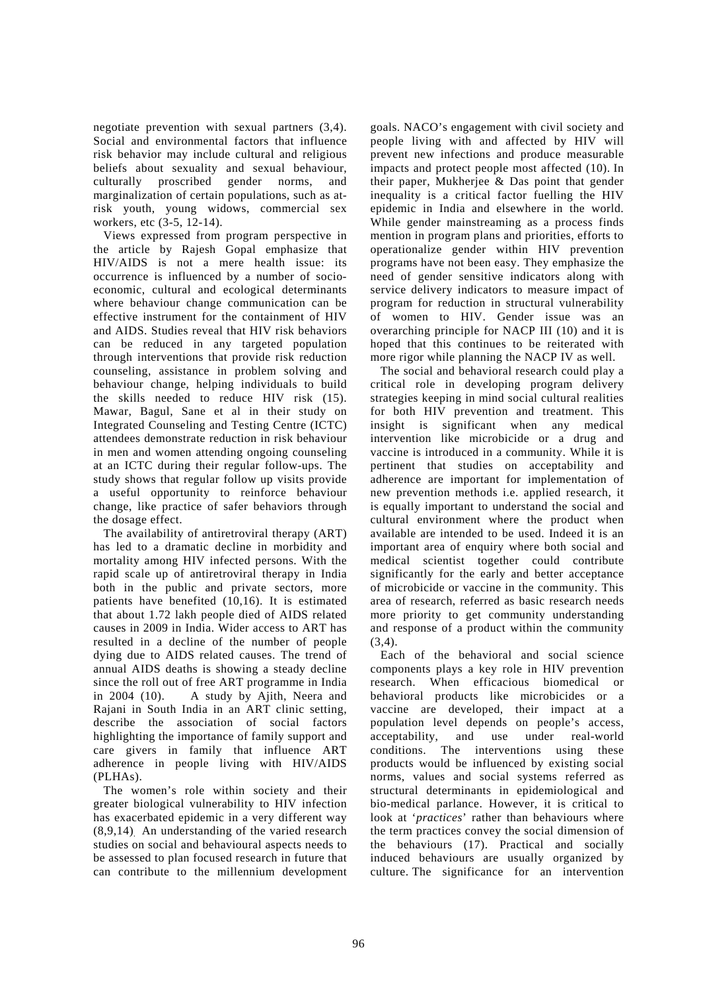negotiate prevention with sexual partners (3,4). Social and environmental factors that influence risk behavior may include cultural and religious beliefs about sexuality and sexual behaviour, culturally proscribed gender norms, and marginalization of certain populations, such as atrisk youth, young widows, commercial sex workers, etc (3-5, 12-14).

Views expressed from program perspective in the article by Rajesh Gopal emphasize that HIV/AIDS is not a mere health issue: its occurrence is influenced by a number of socioeconomic, cultural and ecological determinants where behaviour change communication can be effective instrument for the containment of HIV and AIDS. Studies reveal that HIV risk behaviors can be reduced in any targeted population through interventions that provide risk reduction counseling, assistance in problem solving and behaviour change, helping individuals to build the skills needed to reduce HIV risk (15). Mawar, Bagul, Sane et al in their study on Integrated Counseling and Testing Centre (ICTC) attendees demonstrate reduction in risk behaviour in men and women attending ongoing counseling at an ICTC during their regular follow-ups. The study shows that regular follow up visits provide a useful opportunity to reinforce behaviour change, like practice of safer behaviors through the dosage effect.

The availability of antiretroviral therapy (ART) has led to a dramatic decline in morbidity and mortality among HIV infected persons. With the rapid scale up of antiretroviral therapy in India both in the public and private sectors, more patients have benefited (10,16). It is estimated that about 1.72 lakh people died of AIDS related causes in 2009 in India. Wider access to ART has resulted in a decline of the number of people dying due to AIDS related causes. The trend of annual AIDS deaths is showing a steady decline since the roll out of free ART programme in India in 2004 (10). A study by Ajith, Neera and Rajani in South India in an ART clinic setting, describe the association of social factors highlighting the importance of family support and care givers in family that influence ART adherence in people living with HIV/AIDS (PLHAs).

The women's role within society and their greater biological vulnerability to HIV infection has exacerbated epidemic in a very different way (8,9,14). An understanding of the varied research studies on social and behavioural aspects needs to be assessed to plan focused research in future that can contribute to the millennium development goals. NACO's engagement with civil society and people living with and affected by HIV will prevent new infections and produce measurable impacts and protect people most affected (10). In their paper, Mukherjee & Das point that gender inequality is a critical factor fuelling the HIV epidemic in India and elsewhere in the world. While gender mainstreaming as a process finds mention in program plans and priorities, efforts to operationalize gender within HIV prevention programs have not been easy. They emphasize the need of gender sensitive indicators along with service delivery indicators to measure impact of program for reduction in structural vulnerability of women to HIV. Gender issue was an overarching principle for NACP III (10) and it is hoped that this continues to be reiterated with more rigor while planning the NACP IV as well.

The social and behavioral research could play a critical role in developing program delivery strategies keeping in mind social cultural realities for both HIV prevention and treatment. This insight is significant when any medical intervention like microbicide or a drug and vaccine is introduced in a community. While it is pertinent that studies on acceptability and adherence are important for implementation of new prevention methods i.e. applied research, it is equally important to understand the social and cultural environment where the product when available are intended to be used. Indeed it is an important area of enquiry where both social and medical scientist together could contribute significantly for the early and better acceptance of microbicide or vaccine in the community. This area of research, referred as basic research needs more priority to get community understanding and response of a product within the community  $(3.4)$ .

Each of the behavioral and social science components plays a key role in HIV prevention research. When efficacious biomedical or behavioral products like microbicides or a vaccine are developed, their impact at a population level depends on people's access, acceptability, and use under real-world conditions. The interventions using these products would be influenced by existing social norms, values and social systems referred as structural determinants in epidemiological and bio-medical parlance. However, it is critical to look at '*practices*' rather than behaviours where the term practices convey the social dimension of the behaviours (17). Practical and socially induced behaviours are usually organized by culture. The significance for an intervention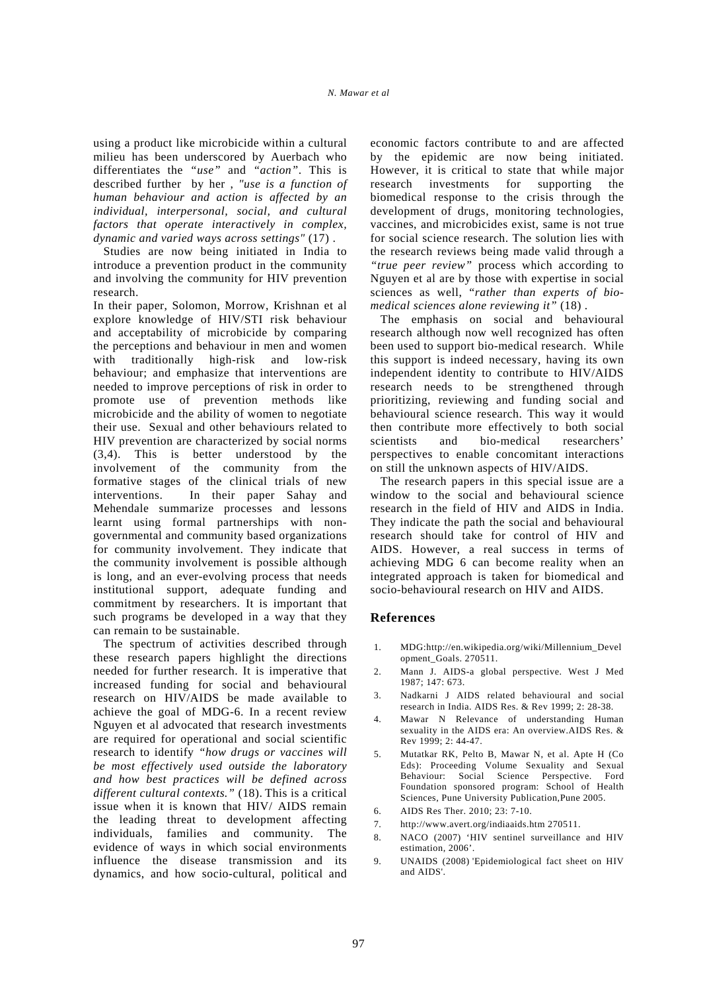using a product like microbicide within a cultural milieu has been underscored by Auerbach who differentiates the *"use"* and *"action"*. This is described further by her , *"use is a function of human behaviour and action is affected by an individual, interpersonal, social, and cultural factors that operate interactively in complex, dynamic and varied ways across settings"* (17) .

Studies are now being initiated in India to introduce a prevention product in the community and involving the community for HIV prevention research.

In their paper, Solomon, Morrow, Krishnan et al explore knowledge of HIV/STI risk behaviour and acceptability of microbicide by comparing the perceptions and behaviour in men and women with traditionally high-risk and low-risk behaviour; and emphasize that interventions are needed to improve perceptions of risk in order to promote use of prevention methods like microbicide and the ability of women to negotiate their use. Sexual and other behaviours related to HIV prevention are characterized by social norms (3,4). This is better understood by the involvement of the community from the formative stages of the clinical trials of new interventions. In their paper Sahay and Mehendale summarize processes and lessons learnt using formal partnerships with nongovernmental and community based organizations for community involvement. They indicate that the community involvement is possible although is long, and an ever-evolving process that needs institutional support, adequate funding and commitment by researchers. It is important that such programs be developed in a way that they can remain to be sustainable.

The spectrum of activities described through these research papers highlight the directions needed for further research. It is imperative that increased funding for social and behavioural research on HIV/AIDS be made available to achieve the goal of MDG-6. In a recent review Nguyen et al advocated that research investments are required for operational and social scientific research to identify *"how drugs or vaccines will be most effectively used outside the laboratory and how best practices will be defined across different cultural contexts."* (18). This is a critical issue when it is known that HIV/ AIDS remain the leading threat to development affecting individuals, families and community. The evidence of ways in which social environments influence the disease transmission and its dynamics, and how socio-cultural, political and economic factors contribute to and are affected by the epidemic are now being initiated. However, it is critical to state that while major research investments for supporting the biomedical response to the crisis through the development of drugs, monitoring technologies, vaccines, and microbicides exist, same is not true for social science research. The solution lies with the research reviews being made valid through a *"true peer review"* process which according to Nguyen et al are by those with expertise in social sciences as well, "*rather than experts of biomedical sciences alone reviewing it"* (18) .

The emphasis on social and behavioural research although now well recognized has often been used to support bio-medical research. While this support is indeed necessary, having its own independent identity to contribute to HIV/AIDS research needs to be strengthened through prioritizing, reviewing and funding social and behavioural science research. This way it would then contribute more effectively to both social scientists and bio-medical researchers' perspectives to enable concomitant interactions on still the unknown aspects of HIV/AIDS.

The research papers in this special issue are a window to the social and behavioural science research in the field of HIV and AIDS in India. They indicate the path the social and behavioural research should take for control of HIV and AIDS. However, a real success in terms of achieving MDG 6 can become reality when an integrated approach is taken for biomedical and socio-behavioural research on HIV and AIDS.

## **References**

- 1. MDG:http://en.wikipedia.org/wiki/Millennium\_Devel opment\_Goals. 270511.
- 2. Mann J. AIDS-a global perspective. West J Med 1987; 147: 673.
- 3. Nadkarni J AIDS related behavioural and social research in India. AIDS Res. & Rev 1999; 2: 28-38.
- 4. Mawar N Relevance of understanding Human sexuality in the AIDS era: An overview.AIDS Res. & Rev 1999; 2: 44-47.
- 5. Mutatkar RK, Pelto B, Mawar N, et al. Apte H (Co Eds): Proceeding Volume Sexuality and Sexual Behaviour: Social Science Perspective. Ford Foundation sponsored program: School of Health Sciences, Pune University Publication,Pune 2005.
- 6. AIDS Res Ther. 2010; 23: 7-10.
- 7. http://www.avert.org/indiaaids.htm 270511.
- 8. NACO (2007) 'HIV sentinel surveillance and HIV estimation, 2006'.
- 9. UNAIDS (2008) 'Epidemiological fact sheet on HIV and AIDS'.